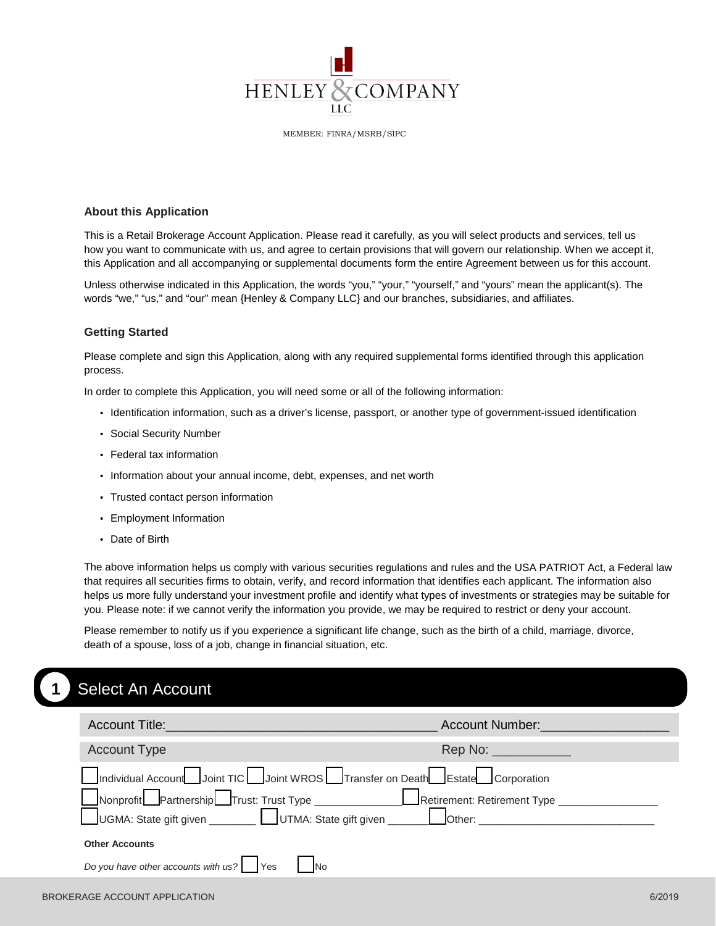

MEMBER: FINRA/MSRB/SIPC

#### **About this Application**

This is a Retail Brokerage Account Application. Please read it carefully, as you will select products and services, tell us how you want to communicate with us, and agree to certain provisions that will govern our relationship. When we accept it, this Application and all accompanying or supplemental documents form the entire Agreement between us for this account.

Unless otherwise indicated in this Application, the words "you," "your," "yourself," and "yours" mean the applicant(s). The words "we," "us," and "our" mean {Henley & Company LLC} and our branches, subsidiaries, and affiliates.

#### **Getting Started**

Please complete and sign this Application, along with any required supplemental forms identified through this application process.

In order to complete this Application, you will need some or all of the following information:

- Identification information, such as a driver's license, passport, or another type of government-issued identification
- Social Security Number
- Federal tax information
- Information about your annual income, debt, expenses, and net worth
- Trusted contact person information
- Employment Information
- Date of Birth

The above information helps us comply with various securities regulations and rules and the USA PATRIOT Act, a Federal law that requires all securities firms to obtain, verify, and record information that identifies each applicant. The information also helps us more fully understand your investment profile and identify what types of investments or strategies may be suitable for you. Please note: if we cannot verify the information you provide, we may be required to restrict or deny your account.

Please remember to notify us if you experience a significant life change, such as the birth of a child, marriage, divorce, death of a spouse, loss of a job, change in financial situation, etc.

# **1** Select An Account

| <b>Account Title:</b>                                                        | Account Number: Account 2014                                                                                   |
|------------------------------------------------------------------------------|----------------------------------------------------------------------------------------------------------------|
| <b>Account Type</b>                                                          | Rep No: The Contract of the Contract of the Contract of the Contract of the Contract of the Contract of the Co |
| Individual Account Joint TIC Joint WROS Transfer on Death Estate Corporation |                                                                                                                |
|                                                                              |                                                                                                                |
|                                                                              |                                                                                                                |
| <b>Other Accounts</b>                                                        |                                                                                                                |
| Do you have other accounts with us? Ves<br>_No                               |                                                                                                                |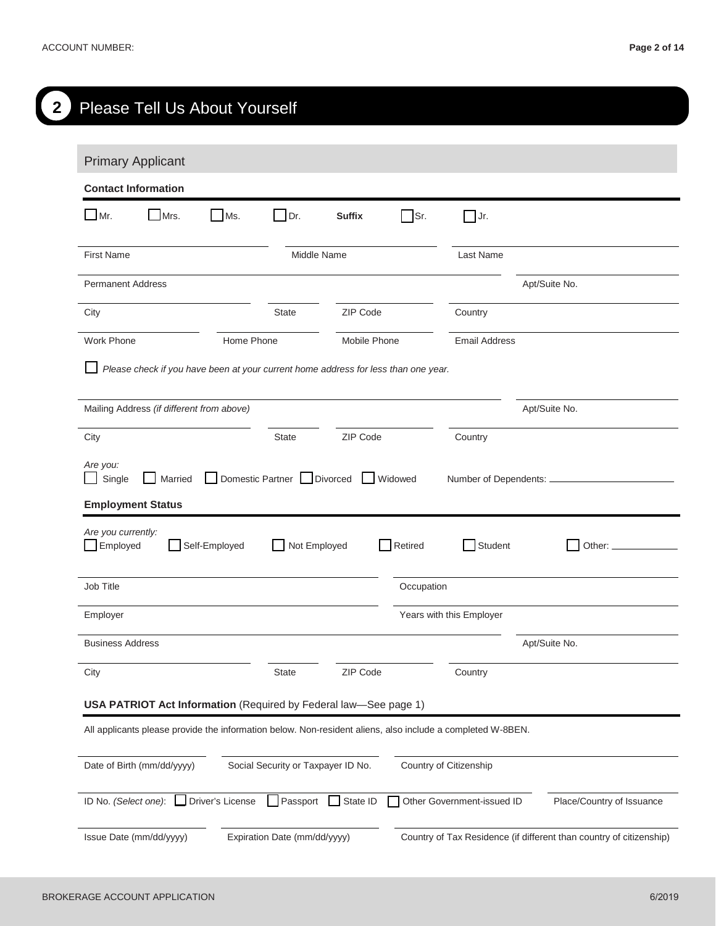| <b>Primary Applicant</b>                                                                                   |               |                             |               |            |                          |               |
|------------------------------------------------------------------------------------------------------------|---------------|-----------------------------|---------------|------------|--------------------------|---------------|
| <b>Contact Information</b>                                                                                 |               |                             |               |            |                          |               |
| $\Box$ Mr.<br>Mrs.                                                                                         | Ms.           | $\Box$ Dr.                  | <b>Suffix</b> | $\Box$ Sr. | $\Box$ Jr.               |               |
| <b>First Name</b>                                                                                          |               | Middle Name                 |               |            | Last Name                |               |
| <b>Permanent Address</b>                                                                                   |               |                             |               |            |                          | Apt/Suite No. |
| City                                                                                                       |               | <b>State</b>                | ZIP Code      |            | Country                  |               |
| <b>Work Phone</b>                                                                                          | Home Phone    |                             | Mobile Phone  |            | <b>Email Address</b>     |               |
| Please check if you have been at your current home address for less than one year.                         |               |                             |               |            |                          |               |
| Mailing Address (if different from above)                                                                  |               |                             |               |            |                          | Apt/Suite No. |
| City                                                                                                       |               | <b>State</b>                | ZIP Code      |            | Country                  |               |
| Are you:<br>Single<br>Married                                                                              |               | Domestic Partner   Divorced |               | Widowed    | Number of Dependents: __ |               |
| <b>Employment Status</b><br>Are you currently:<br>Employed                                                 | Self-Employed | Not Employed                |               | Retired    | Student                  | Other: _      |
| Job Title                                                                                                  |               |                             |               | Occupation |                          |               |
| Employer                                                                                                   |               |                             |               |            | Years with this Employer |               |
| <b>Business Address</b>                                                                                    |               |                             |               |            |                          | Apt/Suite No. |
| City                                                                                                       |               | State                       | ZIP Code      |            | Country                  |               |
| USA PATRIOT Act Information (Required by Federal law-See page 1)                                           |               |                             |               |            |                          |               |
| All applicants please provide the information below. Non-resident aliens, also include a completed W-8BEN. |               |                             |               |            |                          |               |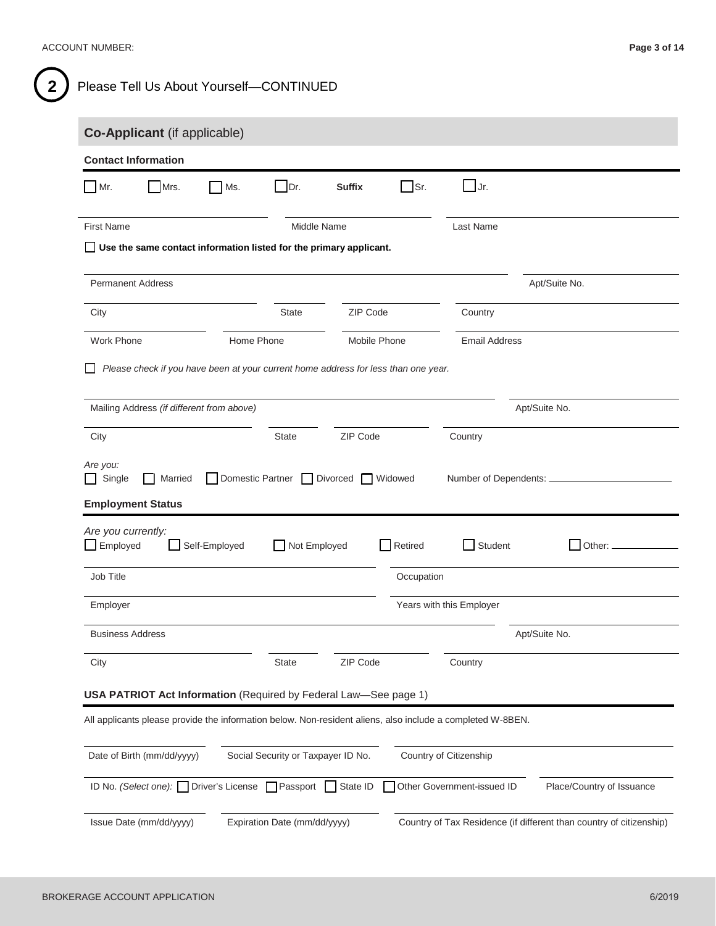| Co-Applicant (if applicable)                                                                               |               |              |                                               |            |                                    |               |
|------------------------------------------------------------------------------------------------------------|---------------|--------------|-----------------------------------------------|------------|------------------------------------|---------------|
| <b>Contact Information</b>                                                                                 |               |              |                                               |            |                                    |               |
| $Mr$ .<br>Mrs.                                                                                             | Ms.           | $\Box$ Dr.   | <b>Suffix</b>                                 | $\Box$ Sr. | $\bigsqcup$ Jr.                    |               |
| <b>First Name</b>                                                                                          |               | Middle Name  |                                               |            | Last Name                          |               |
| $\Box$ Use the same contact information listed for the primary applicant.                                  |               |              |                                               |            |                                    |               |
| <b>Permanent Address</b>                                                                                   |               |              |                                               |            |                                    | Apt/Suite No. |
| City                                                                                                       |               | <b>State</b> | ZIP Code                                      |            | Country                            |               |
| Work Phone                                                                                                 | Home Phone    |              | Mobile Phone                                  |            | <b>Email Address</b>               |               |
| Please check if you have been at your current home address for less than one year.                         |               |              |                                               |            |                                    |               |
|                                                                                                            |               |              |                                               |            |                                    |               |
| Mailing Address (if different from above)                                                                  |               |              |                                               |            |                                    | Apt/Suite No. |
| City<br>Are you:<br>Single<br>$\blacksquare$<br>Married                                                    |               | <b>State</b> | ZIP Code<br>Domestic Partner Divorced Widowed |            | Country<br>Number of Dependents: _ |               |
| <b>Employment Status</b><br>Are you currently:                                                             |               |              |                                               |            |                                    |               |
| $\Box$ Employed                                                                                            | Self-Employed | Not Employed |                                               | Retired    | Student                            | $\Box$ Other: |
| Job Title                                                                                                  |               |              |                                               | Occupation |                                    |               |
| Employer                                                                                                   |               |              |                                               |            | Years with this Employer           |               |
| <b>Business Address</b>                                                                                    |               |              |                                               |            |                                    | Apt/Suite No. |
| City                                                                                                       |               | State        | ZIP Code                                      |            | Country                            |               |
| USA PATRIOT Act Information (Required by Federal Law-See page 1)                                           |               |              |                                               |            |                                    |               |
| All applicants please provide the information below. Non-resident aliens, also include a completed W-8BEN. |               |              |                                               |            |                                    |               |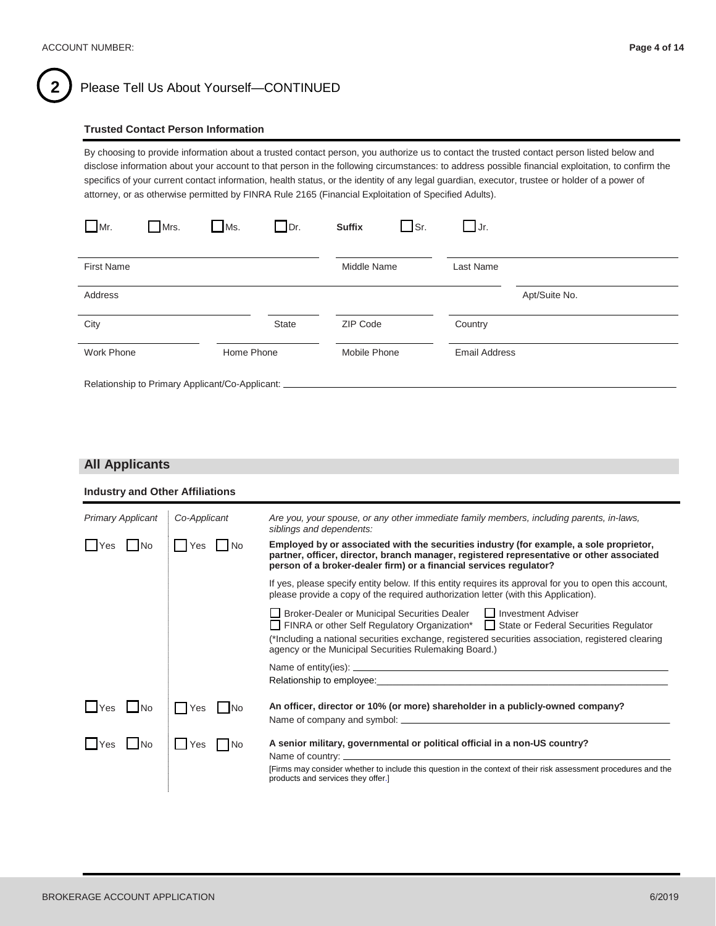

## 2 ) Please Tell Us About Yourself-CONTINUED

#### **Trusted Contact Person Information**

By choosing to provide information about a trusted contact person, you authorize us to contact the trusted contact person listed below and disclose information about your account to that person in the following circumstances: to address possible financial exploitation, to confirm the specifics of your current contact information, health status, or the identity of any legal guardian, executor, trustee or holder of a power of attorney, or as otherwise permitted by FINRA Rule 2165 (Financial Exploitation of Specified Adults).

| $\Box$ Mr.        | Mrs.                                            | $Ms$ .     | $\Box$ Dr.   | <b>Suffix</b> | $\Box$ Sr. | $\Box$ Jr.           |               |
|-------------------|-------------------------------------------------|------------|--------------|---------------|------------|----------------------|---------------|
| <b>First Name</b> |                                                 |            |              | Middle Name   |            | Last Name            |               |
| Address           |                                                 |            |              |               |            |                      | Apt/Suite No. |
| City              |                                                 |            | <b>State</b> | ZIP Code      |            | Country              |               |
| <b>Work Phone</b> |                                                 | Home Phone |              | Mobile Phone  |            | <b>Email Address</b> |               |
|                   | Relationship to Primary Applicant/Co-Applicant: |            |              |               |            |                      |               |

#### **All Applicants**

| <b>Industry and Other Affiliations</b> |              |                                                                                                                                                                                                                                                                                                                              |
|----------------------------------------|--------------|------------------------------------------------------------------------------------------------------------------------------------------------------------------------------------------------------------------------------------------------------------------------------------------------------------------------------|
| <b>Primary Applicant</b>               | Co-Applicant | Are you, your spouse, or any other immediate family members, including parents, in-laws,<br>siblings and dependents:                                                                                                                                                                                                         |
| N <sub>o</sub><br>Yes                  | Yes<br>l No  | Employed by or associated with the securities industry (for example, a sole proprietor,<br>partner, officer, director, branch manager, registered representative or other associated<br>person of a broker-dealer firm) or a financial services regulator?                                                                   |
|                                        |              | If yes, please specify entity below. If this entity requires its approval for you to open this account,<br>please provide a copy of the required authorization letter (with this Application).                                                                                                                               |
|                                        |              | □ Broker-Dealer or Municipal Securities Dealer □ Investment Adviser<br>□ FINRA or other Self Regulatory Organization* □ State or Federal Securities Regulator<br>(*Including a national securities exchange, registered securities association, registered clearing<br>agency or the Municipal Securities Rulemaking Board.) |
|                                        |              | Relationship to employee: example and the contract of the contract of the contract of the contract of the contract of the contract of the contract of the contract of the contract of the contract of the contract of the cont                                                                                               |
| <b>Nes</b><br><b>No</b>                | Yes          | An officer, director or 10% (or more) shareholder in a publicly-owned company?                                                                                                                                                                                                                                               |
| <b>I</b> Yes<br><b>No</b>              | Yes<br>I No  | A senior military, governmental or political official in a non-US country?<br>[Firms may consider whether to include this question in the context of their risk assessment procedures and the<br>products and services they offer.]                                                                                          |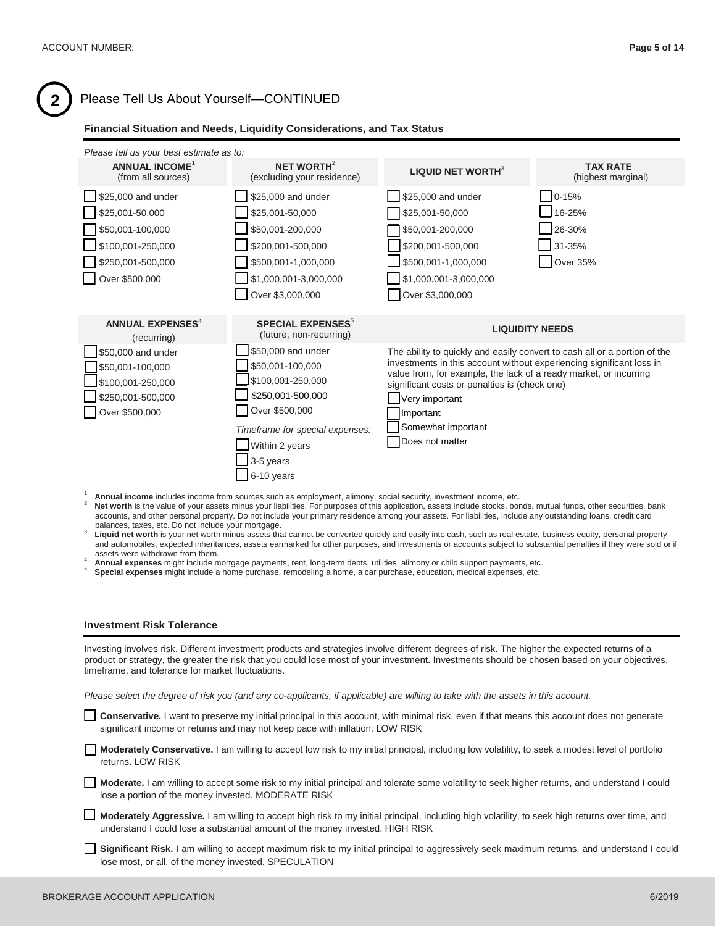# **2** Please Tell Us About Yourself—CONTINUED

#### **Financial Situation and Needs, Liquidity Considerations, and Tax Status**

| Please tell us your best estimate as to:                                                           |                                                                                                                                                                                           |                                                                                                                                                                                                                                                                                                                                                 |                                       |
|----------------------------------------------------------------------------------------------------|-------------------------------------------------------------------------------------------------------------------------------------------------------------------------------------------|-------------------------------------------------------------------------------------------------------------------------------------------------------------------------------------------------------------------------------------------------------------------------------------------------------------------------------------------------|---------------------------------------|
| <b>ANNUAL INCOME<sup>1</sup></b><br>(from all sources)                                             | NET WORTH <sup>2</sup><br>(excluding your residence)                                                                                                                                      | <b>LIQUID NET WORTH</b> $3$                                                                                                                                                                                                                                                                                                                     | <b>TAX RATE</b><br>(highest marginal) |
| \$25,000 and under                                                                                 | \$25,000 and under                                                                                                                                                                        | \$25,000 and under                                                                                                                                                                                                                                                                                                                              | $0 - 15%$                             |
| \$25,001-50,000                                                                                    | \$25,001-50,000                                                                                                                                                                           | \$25,001-50,000                                                                                                                                                                                                                                                                                                                                 | 16-25%                                |
| \$50,001-100,000                                                                                   | \$50,001-200,000                                                                                                                                                                          | \$50,001-200,000                                                                                                                                                                                                                                                                                                                                | 26-30%                                |
| \$100,001-250,000                                                                                  | \$200,001-500,000                                                                                                                                                                         | \$200,001-500,000                                                                                                                                                                                                                                                                                                                               | 31-35%                                |
| \$250,001-500,000                                                                                  | \$500,001-1,000,000                                                                                                                                                                       | \$500,001-1,000,000                                                                                                                                                                                                                                                                                                                             | Over 35%                              |
| Over \$500,000                                                                                     | \$1,000,001-3,000,000                                                                                                                                                                     | \$1,000,001-3,000,000                                                                                                                                                                                                                                                                                                                           |                                       |
|                                                                                                    | Over \$3,000,000                                                                                                                                                                          | Over \$3,000,000                                                                                                                                                                                                                                                                                                                                |                                       |
|                                                                                                    |                                                                                                                                                                                           |                                                                                                                                                                                                                                                                                                                                                 |                                       |
| <b>ANNUAL EXPENSES<sup>4</sup></b><br>(recurring)                                                  | <b>SPECIAL EXPENSES<sup>5</sup></b><br>(future, non-recurring)                                                                                                                            |                                                                                                                                                                                                                                                                                                                                                 | <b>LIQUIDITY NEEDS</b>                |
| \$50,000 and under<br>\$50,001-100,000<br>\$100,001-250,000<br>\$250,001-500,000<br>Over \$500,000 | \$50,000 and under<br>\$50,001-100,000<br>\$100,001-250,000<br>\$250,001-500,000<br>Over \$500,000<br>Timeframe for special expenses:<br>Within 2 years<br>3-5 years<br>$\Box$ 6-10 years | The ability to quickly and easily convert to cash all or a portion of the<br>investments in this account without experiencing significant loss in<br>value from, for example, the lack of a ready market, or incurring<br>significant costs or penalties is (check one)<br>Very important<br>Important<br>Somewhat important<br>Does not matter |                                       |
|                                                                                                    |                                                                                                                                                                                           |                                                                                                                                                                                                                                                                                                                                                 |                                       |

- balances, taxes, etc. Do not include your mortgage.<br><sup>3</sup> Liquid net worth is your net worth minus assets that cannot be converted quickly and easily into cash, such as real estate, business equity, personal property and automobiles, expected inheritances, assets earmarked for other purposes, and investments or accounts subject to substantial penalties if they were sold or if
- 
- assets were withdrawn from them.<br><sup>4</sup> Annual expenses might include mortgage payments, rent, long-term debts, utilities, alimony or child support payments, etc.<br><sup>5</sup> Special expenses might include a home purchase, remodeling
- 

#### **Investment Risk Tolerance**

Investing involves risk. Different investment products and strategies involve different degrees of risk. The higher the expected returns of a product or strategy, the greater the risk that you could lose most of your investment. Investments should be chosen based on your objectives, timeframe, and tolerance for market fluctuations.

*Please select the degree of risk you (and any co-applicants, if applicable) are willing to take with the assets in this account.* 

 **Conservative.** I want to preserve my initial principal in this account, with minimal risk, even if that means this account does not generate significant income or returns and may not keep pace with inflation. LOW RISK

 **Moderately Conservative.** I am willing to accept low risk to my initial principal, including low volatility, to seek a modest level of portfolio returns. LOW RISK

 **Moderate.** I am willing to accept some risk to my initial principal and tolerate some volatility to seek higher returns, and understand I could lose a portion of the money invested. MODERATE RISK

 **Moderately Aggressive.** I am willing to accept high risk to my initial principal, including high volatility, to seek high returns over time, and understand I could lose a substantial amount of the money invested. HIGH RISK

**Significant Risk.** I am willing to accept maximum risk to my initial principal to aggressively seek maximum returns, and understand I could lose most, or all, of the money invested. SPECULATION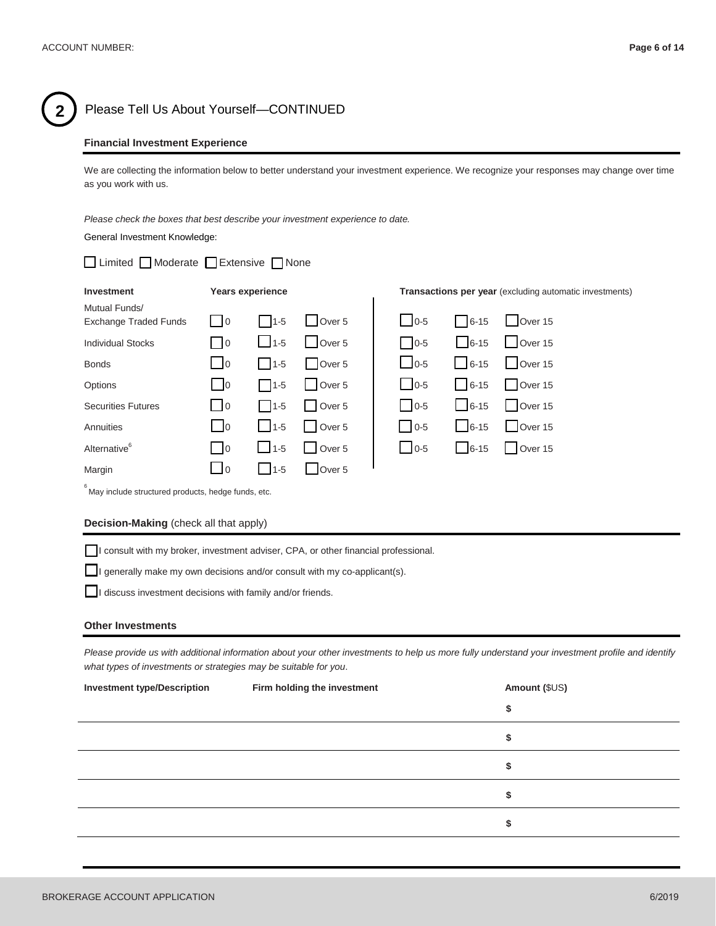

### **2** Please Tell Us About Yourself—CONTINUED

#### **Financial Investment Experience**

We are collecting the information below to better understand your investment experience. We recognize your responses may change over time as you work with us.

*Please check the boxes that best describe your investment experience to date.* General Investment Knowledge:

| □ Limited ■ Moderate ■ Extensive ■ None |                                                   |                         |                   |               |             |                                                                |
|-----------------------------------------|---------------------------------------------------|-------------------------|-------------------|---------------|-------------|----------------------------------------------------------------|
| Investment                              |                                                   | <b>Years experience</b> |                   |               |             | <b>Transactions per year</b> (excluding automatic investments) |
| Mutual Funds/                           |                                                   |                         |                   |               |             |                                                                |
| <b>Exchange Traded Funds</b>            | $\overline{0}$                                    | $11-5$                  | Over 5            | $\bigcup$ 0-5 | $  6-15$    | Over 15                                                        |
| <b>Individual Stocks</b>                | $\overline{0}$                                    | $11-5$                  | Over 5            | $0 - 5$       | $6 - 15$    | Over 15                                                        |
| <b>Bonds</b>                            | $\Box$ 0                                          | $1 - 5$                 | Over 5            | $\Box$ 0-5    | $1 \t6-15$  | $\bigcup$ Over 15                                              |
| Options                                 | $\overline{0}$                                    | $\Box$ 1-5              | Over 5            | $\Box$ 0-5    | $6 - 15$    | Over 15                                                        |
| <b>Securities Futures</b>               | $\overline{\phantom{0}}$ $\overline{\phantom{0}}$ | $1 - 5$                 | Over <sub>5</sub> | $110-5$       | $1 \t 6-15$ | Over 15                                                        |
| Annuities                               | $\overline{0}$                                    | $\vert$ 1-5             | Over <sub>5</sub> | $\bigcup$ 0-5 | $6 - 15$    | $\bigcup$ Over 15                                              |
| Alternative <sup>6</sup>                | $\overline{\phantom{0}}$                          | $11-5$                  | Over <sub>5</sub> | $\bigcup$ 0-5 | $6-15$      | Over 15                                                        |
| Margin                                  | $\overline{10}$                                   | $11-5$                  | Over <sub>5</sub> |               |             |                                                                |

 $\degree$ May include structured products, hedge funds, etc.

#### **Decision-Making** (check all that apply)

I consult with my broker, investment adviser, CPA, or other financial professional.

I generally make my own decisions and/or consult with my co-applicant(s).

I discuss investment decisions with family and/or friends.

#### **Other Investments**

Please provide us with additional information about your other investments to help us more fully understand your investment profile and identify *what types of investments or strategies may be suitable for you*.

| <b>Investment type/Description</b> | Firm holding the investment | Amount (\$US) |
|------------------------------------|-----------------------------|---------------|
|                                    |                             | \$            |
|                                    |                             | c<br>Φ        |
|                                    |                             | œ<br>Φ        |
|                                    |                             | Φ             |
|                                    |                             | œ<br>ъ        |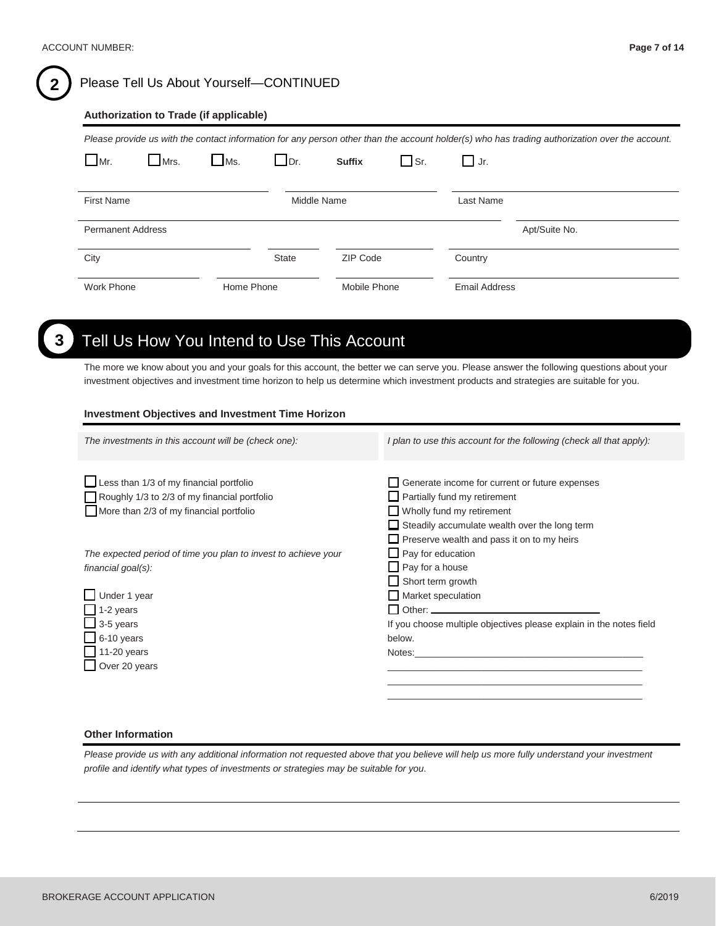# **2** Please Tell Us About Yourself—CONTINUED

#### **Authorization to Trade (if applicable)**

*Please provide us with the contact information for any person other than the account holder(s) who has trading authorization over the account.*

| $\Box$ Mr.               | Mrs. | $\Box$ Ms. | $\Box$ Dr. | <b>Suffix</b> | $\Box$ Sr. | Jr.                  |  |
|--------------------------|------|------------|------------|---------------|------------|----------------------|--|
| First Name               |      |            |            | Middle Name   |            | Last Name            |  |
| <b>Permanent Address</b> |      |            |            |               |            | Apt/Suite No.        |  |
| City                     |      |            | State      | ZIP Code      |            | Country              |  |
| Work Phone               |      | Home Phone |            | Mobile Phone  |            | <b>Email Address</b> |  |

# **3** Tell Us How You Intend to Use This Account

The more we know about you and your goals for this account, the better we can serve you. Please answer the following questions about your investment objectives and investment time horizon to help us determine which investment products and strategies are suitable for you.

#### **Investment Objectives and Investment Time Horizon**

| The investments in this account will be (check one):           | I plan to use this account for the following (check all that apply): |
|----------------------------------------------------------------|----------------------------------------------------------------------|
|                                                                |                                                                      |
|                                                                |                                                                      |
| Less than 1/3 of my financial portfolio                        | Generate income for current or future expenses                       |
| Roughly 1/3 to 2/3 of my financial portfolio                   | Partially fund my retirement                                         |
| More than 2/3 of my financial portfolio                        | $\Box$ Wholly fund my retirement                                     |
|                                                                | $\Box$ Steadily accumulate wealth over the long term                 |
|                                                                | $\Box$ Preserve wealth and pass it on to my heirs                    |
| The expected period of time you plan to invest to achieve your | $\Box$ Pay for education                                             |
| financial goal(s):                                             | Pay for a house                                                      |
|                                                                | Short term growth                                                    |
| $\Box$ Under 1 year                                            | Market speculation                                                   |
| $1-2$ years                                                    |                                                                      |
| $\overline{\phantom{0}}$ 3-5 years                             | If you choose multiple objectives please explain in the notes field  |
| $-6-10$ years                                                  | below.                                                               |
| 11-20 years                                                    | Notes:                                                               |
| Over 20 years                                                  |                                                                      |
|                                                                |                                                                      |
|                                                                |                                                                      |
|                                                                |                                                                      |

#### **Other Information**

*Please provide us with any additional information not requested above that you believe will help us more fully understand your investment profile and identify what types of investments or strategies may be suitable for you*.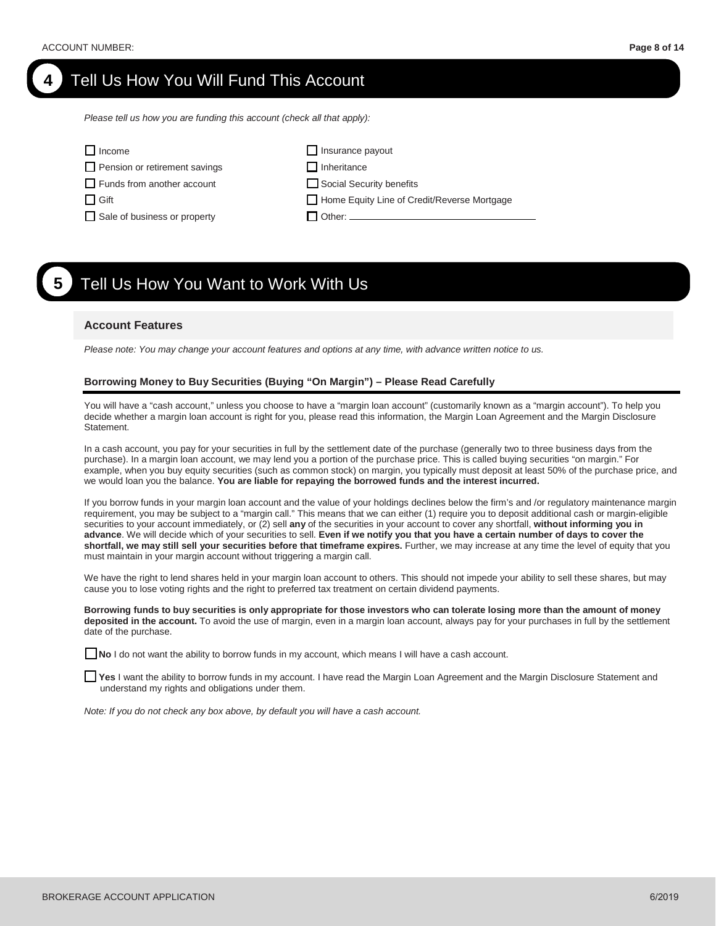# **4** Tell Us How You Will Fund This Account

*Please tell us how you are funding this account (check all that apply):* 

| $\Box$ Income                        | $\Box$ Insurance payout                     |
|--------------------------------------|---------------------------------------------|
| $\Box$ Pension or retirement savings | $\Box$ Inheritance                          |
| $\Box$ Funds from another account    | Social Security benefits                    |
| $\Box$ Gift                          | Home Equity Line of Credit/Reverse Mortgage |
| Sale of business or property         | $\Box$ Other: .                             |
|                                      |                                             |

# **5** Tell Us How You Want to Work With Us

#### **Account Features**

*Please note: You may change your account features and options at any time, with advance written notice to us.*

#### **Borrowing Money to Buy Securities (Buying "On Margin") – Please Read Carefully**

You will have a "cash account," unless you choose to have a "margin loan account" (customarily known as a "margin account"). To help you decide whether a margin loan account is right for you, please read this information, the Margin Loan Agreement and the Margin Disclosure Statement.

In a cash account, you pay for your securities in full by the settlement date of the purchase (generally two to three business days from the purchase). In a margin loan account, we may lend you a portion of the purchase price. This is called buying securities "on margin." For example, when you buy equity securities (such as common stock) on margin, you typically must deposit at least 50% of the purchase price, and we would loan you the balance. **You are liable for repaying the borrowed funds and the interest incurred.**

If you borrow funds in your margin loan account and the value of your holdings declines below the firm's and /or regulatory maintenance margin requirement, you may be subject to a "margin call." This means that we can either (1) require you to deposit additional cash or margin-eligible securities to your account immediately, or (2) sell **any** of the securities in your account to cover any shortfall, **without informing you in**  advance. We will decide which of your securities to sell. Even if we notify you that you have a certain number of days to cover the **shortfall, we may still sell your securities before that timeframe expires.** Further, we may increase at any time the level of equity that you must maintain in your margin account without triggering a margin call.

We have the right to lend shares held in your margin loan account to others. This should not impede your ability to sell these shares, but may cause you to lose voting rights and the right to preferred tax treatment on certain dividend payments.

**Borrowing funds to buy securities is only appropriate for those investors who can tolerate losing more than the amount of money deposited in the account.** To avoid the use of margin, even in a margin loan account, always pay for your purchases in full by the settlement date of the purchase.

**No** I do not want the ability to borrow funds in my account, which means I will have a cash account.

**Yes** I want the ability to borrow funds in my account. I have read the Margin Loan Agreement and the Margin Disclosure Statement and understand my rights and obligations under them.

*Note: If you do not check any box above, by default you will have a cash account.*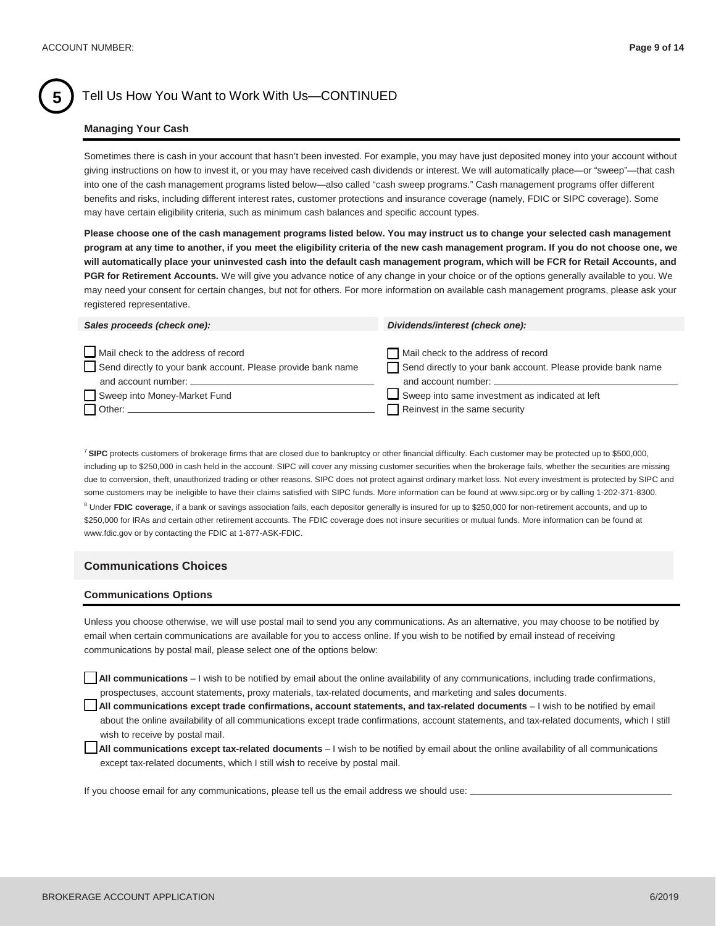## **5** Tell Us How You Want to Work With Us—CONTINUED

#### **Managing Your Cash**

Sometimes there is cash in your account that hasn't been invested. For example, you may have just deposited money into your account without giving instructions on how to invest it, or you may have received cash dividends or interest. We will automatically place—or "sweep"—that cash into one of the cash management programs listed below—also called "cash sweep programs." Cash management programs offer different benefits and risks, including different interest rates, customer protections and insurance coverage (namely, FDIC or SIPC coverage). Some may have certain eligibility criteria, such as minimum cash balances and specific account types.

**Please choose one of the cash management programs listed below. You may instruct us to change your selected cash management program at any time to another, if you meet the eligibility criteria of the new cash management program. If you do not choose one, we will automatically place your uninvested cash into the default cash management program, which will be FCR for Retail Accounts, and**  PGR for Retirement Accounts. We will give you advance notice of any change in your choice or of the options generally available to you. We may need your consent for certain changes, but not for others. For more information on available cash management programs, please ask your registered representative.

| Mail check to the address of record<br>Mail check to the address of record<br>Send directly to your bank account. Please provide bank name<br>Send directly to your bank account. Please provide bank name<br>and account number:<br>and account number: | Sales proceeds (check one): | Dividends/interest (check one): |
|----------------------------------------------------------------------------------------------------------------------------------------------------------------------------------------------------------------------------------------------------------|-----------------------------|---------------------------------|
| Sweep into same investment as indicated at left<br>Sweep into Money-Market Fund<br>Reinvest in the same security<br>$\Box$ Other: $\_\_$                                                                                                                 |                             |                                 |

<sup>7</sup> **SIPC** protects customers of brokerage firms that are closed due to bankruptcy or other financial difficulty. Each customer may be protected up to \$500,000, including up to \$250,000 in cash held in the account. SIPC will cover any missing customer securities when the brokerage fails, whether the securities are missing due to conversion, theft, unauthorized trading or other reasons. SIPC does not protect against ordinary market loss. Not every investment is protected by SIPC and some customers may be ineligible to have their claims satisfied with SIPC funds. More information can be found at www.sipc.org or by calling 1-202-371-8300.

<sup>8</sup> Under FDIC coverage, if a bank or savings association fails, each depositor generally is insured for up to \$250,000 for non-retirement accounts, and up to \$250,000 for IRAs and certain other retirement accounts. The FDIC coverage does not insure securities or mutual funds. More information can be found at www.fdic.gov or by contacting the FDIC at 1-877-ASK-FDIC.

#### **Communications Choices**

#### **Communications Options**

Unless you choose otherwise, we will use postal mail to send you any communications. As an alternative, you may choose to be notified by email when certain communications are available for you to access online. If you wish to be notified by email instead of receiving communications by postal mail, please select one of the options below:

**All communications** – I wish to be notified by email about the online availability of any communications, including trade confirmations, prospectuses, account statements, proxy materials, tax-related documents, and marketing and sales documents.

**All communications except trade confirmations, account statements, and tax-related documents** – I wish to be notified by email about the online availability of all communications except trade confirmations, account statements, and tax-related documents, which I still wish to receive by postal mail.

**All communications except tax-related documents** – I wish to be notified by email about the online availability of all communications except tax-related documents, which I still wish to receive by postal mail.

If you choose email for any communications, please tell us the email address we should use:  $\overline{\phantom{a}}$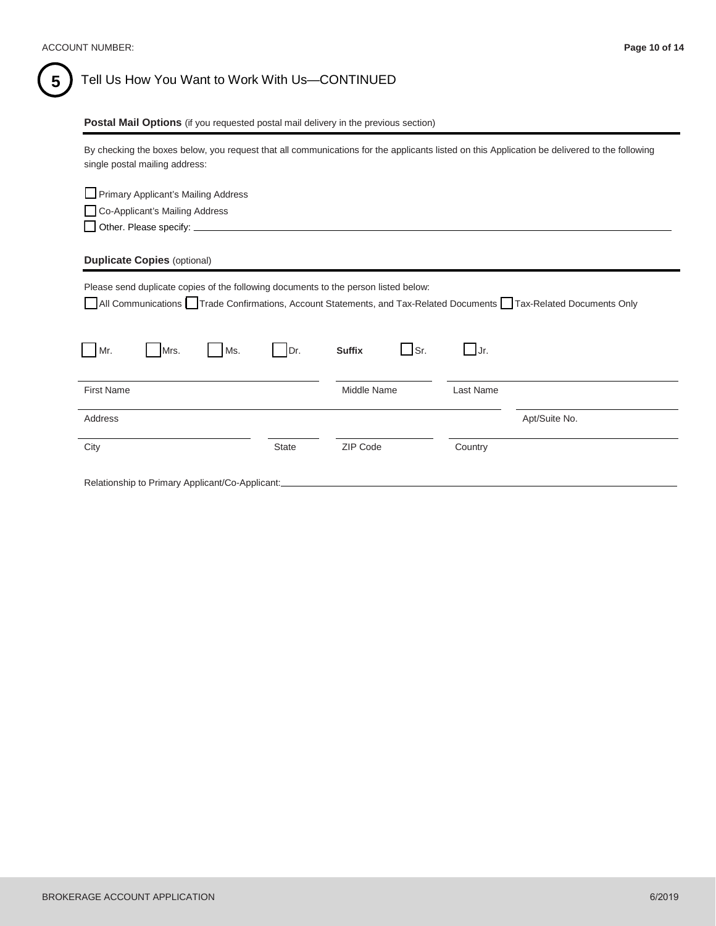#### **Postal Mail Options** (if you requested postal mail delivery in the previous section)

By checking the boxes below, you request that all communications for the applicants listed on this Application be delivered to the following single postal mailing address:

| Primary Applicant's Mailing Address                                                                              |              |               |                      |               |
|------------------------------------------------------------------------------------------------------------------|--------------|---------------|----------------------|---------------|
| Co-Applicant's Mailing Address                                                                                   |              |               |                      |               |
|                                                                                                                  |              |               |                      |               |
| <b>Duplicate Copies (optional)</b>                                                                               |              |               |                      |               |
| Please send duplicate copies of the following documents to the person listed below:                              |              |               |                      |               |
| All Communications Trade Confirmations, Account Statements, and Tax-Related Documents Tax-Related Documents Only |              |               |                      |               |
|                                                                                                                  |              |               |                      |               |
| Ms.<br>Mr.<br>Mrs.                                                                                               | IDr.         | <b>Suffix</b> | $\Box$ Sr.<br>$Jr$ . |               |
| <b>First Name</b>                                                                                                |              | Middle Name   | Last Name            |               |
| Address                                                                                                          |              |               |                      | Apt/Suite No. |
| City                                                                                                             | <b>State</b> | ZIP Code      | Country              |               |
| Relationship to Primary Applicant/Co-Applicant:                                                                  |              |               |                      |               |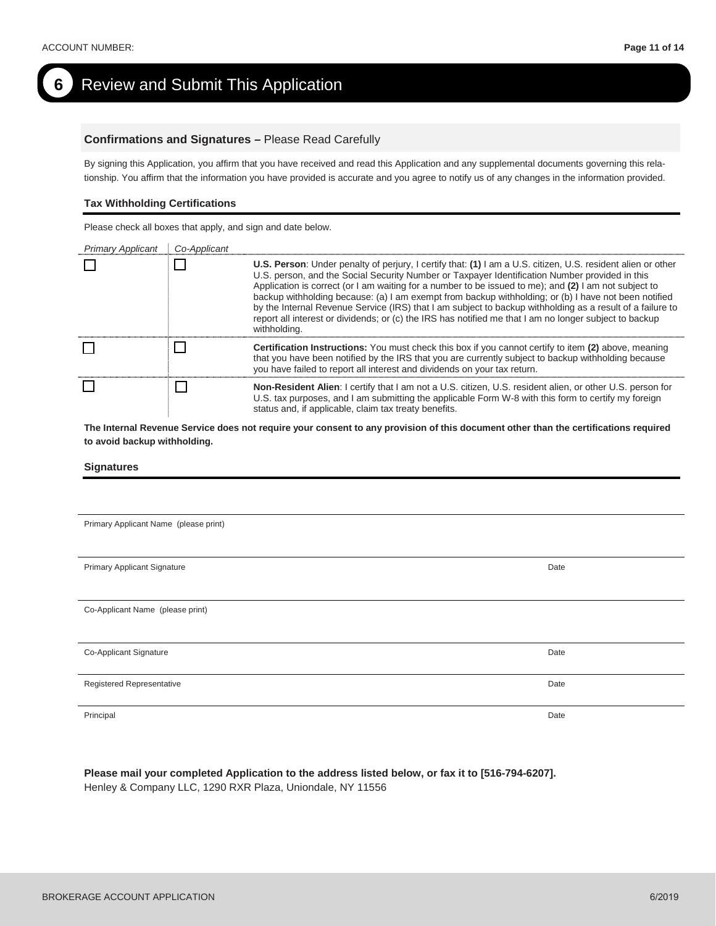# **6** Review and Submit This Application

#### **Confirmations and Signatures –** Please Read Carefully

By signing this Application, you affirm that you have received and read this Application and any supplemental documents governing this relationship. You affirm that the information you have provided is accurate and you agree to notify us of any changes in the information provided.

#### **Tax Withholding Certifications**

Please check all boxes that apply, and sign and date below.

| <b>Primary Applicant</b> | Co-Applicant |                                                                                                                                                                                                                                                                                                                                                                                                                                                                                                                                                                                                                                                                        |
|--------------------------|--------------|------------------------------------------------------------------------------------------------------------------------------------------------------------------------------------------------------------------------------------------------------------------------------------------------------------------------------------------------------------------------------------------------------------------------------------------------------------------------------------------------------------------------------------------------------------------------------------------------------------------------------------------------------------------------|
|                          |              | U.S. Person: Under penalty of perjury, I certify that: (1) I am a U.S. citizen, U.S. resident alien or other<br>U.S. person, and the Social Security Number or Taxpayer Identification Number provided in this<br>Application is correct (or I am waiting for a number to be issued to me); and (2) I am not subject to<br>backup withholding because: (a) I am exempt from backup withholding; or (b) I have not been notified<br>by the Internal Revenue Service (IRS) that I am subject to backup withholding as a result of a failure to<br>report all interest or dividends; or (c) the IRS has notified me that I am no longer subject to backup<br>withholding. |
|                          |              | <b>Certification Instructions:</b> You must check this box if you cannot certify to item (2) above, meaning<br>that you have been notified by the IRS that you are currently subject to backup withholding because<br>you have failed to report all interest and dividends on your tax return.                                                                                                                                                                                                                                                                                                                                                                         |
|                          |              | <b>Non-Resident Alien:</b> I certify that I am not a U.S. citizen, U.S. resident alien, or other U.S. person for<br>U.S. tax purposes, and I am submitting the applicable Form W-8 with this form to certify my foreign<br>status and, if applicable, claim tax treaty benefits.                                                                                                                                                                                                                                                                                                                                                                                       |

**The Internal Revenue Service does not require your consent to any provision of this document other than the certifications required to avoid backup withholding.**

#### **Signatures**

Primary Applicant Name (please print)

Primary Applicant Signature **Date** 

Co-Applicant Name (please print)

Co-Applicant Signature Date Communication of the Communication of the Communication of the Date Communication of Date

Registered Representative Date

Principal Date

**Please mail your completed Application to the address listed below, or fax it to [516-794-6207].** Henley & Company LLC, 1290 RXR Plaza, Uniondale, NY 11556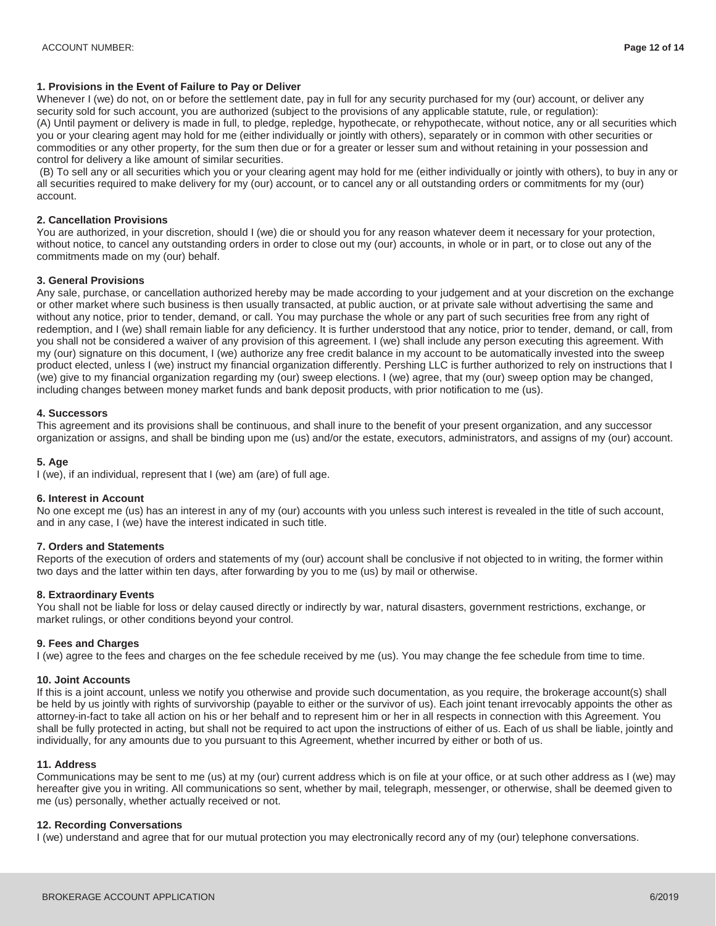#### **1. Provisions in the Event of Failure to Pay or Deliver**

Whenever I (we) do not, on or before the settlement date, pay in full for any security purchased for my (our) account, or deliver any security sold for such account, you are authorized (subject to the provisions of any applicable statute, rule, or regulation): (A) Until payment or delivery is made in full, to pledge, repledge, hypothecate, or rehypothecate, without notice, any or all securities which you or your clearing agent may hold for me (either individually or jointly with others), separately or in common with other securities or commodities or any other property, for the sum then due or for a greater or lesser sum and without retaining in your possession and control for delivery a like amount of similar securities.

(B) To sell any or all securities which you or your clearing agent may hold for me (either individually or jointly with others), to buy in any or all securities required to make delivery for my (our) account, or to cancel any or all outstanding orders or commitments for my (our) account.

#### **2. Cancellation Provisions**

You are authorized, in your discretion, should I (we) die or should you for any reason whatever deem it necessary for your protection, without notice, to cancel any outstanding orders in order to close out my (our) accounts, in whole or in part, or to close out any of the commitments made on my (our) behalf.

#### **3. General Provisions**

Any sale, purchase, or cancellation authorized hereby may be made according to your judgement and at your discretion on the exchange or other market where such business is then usually transacted, at public auction, or at private sale without advertising the same and without any notice, prior to tender, demand, or call. You may purchase the whole or any part of such securities free from any right of redemption, and I (we) shall remain liable for any deficiency. It is further understood that any notice, prior to tender, demand, or call, from you shall not be considered a waiver of any provision of this agreement. I (we) shall include any person executing this agreement. With my (our) signature on this document, I (we) authorize any free credit balance in my account to be automatically invested into the sweep product elected, unless I (we) instruct my financial organization differently. Pershing LLC is further authorized to rely on instructions that I (we) give to my financial organization regarding my (our) sweep elections. I (we) agree, that my (our) sweep option may be changed, including changes between money market funds and bank deposit products, with prior notification to me (us).

#### **4. Successors**

This agreement and its provisions shall be continuous, and shall inure to the benefit of your present organization, and any successor organization or assigns, and shall be binding upon me (us) and/or the estate, executors, administrators, and assigns of my (our) account.

#### **5. Age**

I (we), if an individual, represent that I (we) am (are) of full age.

#### **6. Interest in Account**

No one except me (us) has an interest in any of my (our) accounts with you unless such interest is revealed in the title of such account, and in any case, I (we) have the interest indicated in such title.

#### **7. Orders and Statements**

Reports of the execution of orders and statements of my (our) account shall be conclusive if not objected to in writing, the former within two days and the latter within ten days, after forwarding by you to me (us) by mail or otherwise.

#### **8. Extraordinary Events**

You shall not be liable for loss or delay caused directly or indirectly by war, natural disasters, government restrictions, exchange, or market rulings, or other conditions beyond your control.

#### **9. Fees and Charges**

I (we) agree to the fees and charges on the fee schedule received by me (us). You may change the fee schedule from time to time.

#### **10. Joint Accounts**

If this is a joint account, unless we notify you otherwise and provide such documentation, as you require, the brokerage account(s) shall be held by us jointly with rights of survivorship (payable to either or the survivor of us). Each joint tenant irrevocably appoints the other as attorney-in-fact to take all action on his or her behalf and to represent him or her in all respects in connection with this Agreement. You shall be fully protected in acting, but shall not be required to act upon the instructions of either of us. Each of us shall be liable, jointly and individually, for any amounts due to you pursuant to this Agreement, whether incurred by either or both of us.

#### **11. Address**

Communications may be sent to me (us) at my (our) current address which is on file at your office, or at such other address as I (we) may hereafter give you in writing. All communications so sent, whether by mail, telegraph, messenger, or otherwise, shall be deemed given to me (us) personally, whether actually received or not.

#### **12. Recording Conversations**

I (we) understand and agree that for our mutual protection you may electronically record any of my (our) telephone conversations.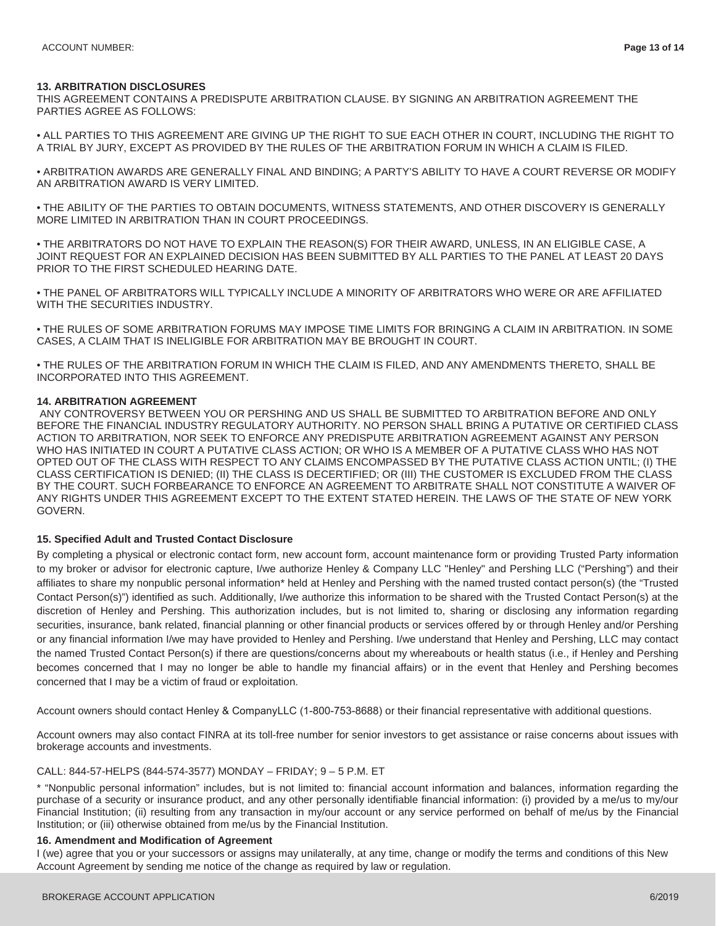#### **13. ARBITRATION DISCLOSURES**

THIS AGREEMENT CONTAINS A PREDISPUTE ARBITRATION CLAUSE. BY SIGNING AN ARBITRATION AGREEMENT THE PARTIES AGREE AS FOLLOWS:

• ALL PARTIES TO THIS AGREEMENT ARE GIVING UP THE RIGHT TO SUE EACH OTHER IN COURT, INCLUDING THE RIGHT TO A TRIAL BY JURY, EXCEPT AS PROVIDED BY THE RULES OF THE ARBITRATION FORUM IN WHICH A CLAIM IS FILED.

• ARBITRATION AWARDS ARE GENERALLY FINAL AND BINDING; A PARTY'S ABILITY TO HAVE A COURT REVERSE OR MODIFY AN ARBITRATION AWARD IS VERY LIMITED.

• THE ABILITY OF THE PARTIES TO OBTAIN DOCUMENTS, WITNESS STATEMENTS, AND OTHER DISCOVERY IS GENERALLY MORE LIMITED IN ARBITRATION THAN IN COURT PROCEEDINGS.

• THE ARBITRATORS DO NOT HAVE TO EXPLAIN THE REASON(S) FOR THEIR AWARD, UNLESS, IN AN ELIGIBLE CASE, A JOINT REQUEST FOR AN EXPLAINED DECISION HAS BEEN SUBMITTED BY ALL PARTIES TO THE PANEL AT LEAST 20 DAYS PRIOR TO THE FIRST SCHEDULED HEARING DATE.

• THE PANEL OF ARBITRATORS WILL TYPICALLY INCLUDE A MINORITY OF ARBITRATORS WHO WERE OR ARE AFFILIATED WITH THE SECURITIES INDUSTRY.

• THE RULES OF SOME ARBITRATION FORUMS MAY IMPOSE TIME LIMITS FOR BRINGING A CLAIM IN ARBITRATION. IN SOME CASES, A CLAIM THAT IS INELIGIBLE FOR ARBITRATION MAY BE BROUGHT IN COURT.

• THE RULES OF THE ARBITRATION FORUM IN WHICH THE CLAIM IS FILED, AND ANY AMENDMENTS THERETO, SHALL BE INCORPORATED INTO THIS AGREEMENT.

#### **14. ARBITRATION AGREEMENT**

ANY CONTROVERSY BETWEEN YOU OR PERSHING AND US SHALL BE SUBMITTED TO ARBITRATION BEFORE AND ONLY BEFORE THE FINANCIAL INDUSTRY REGULATORY AUTHORITY. NO PERSON SHALL BRING A PUTATIVE OR CERTIFIED CLASS ACTION TO ARBITRATION, NOR SEEK TO ENFORCE ANY PREDISPUTE ARBITRATION AGREEMENT AGAINST ANY PERSON WHO HAS INITIATED IN COURT A PUTATIVE CLASS ACTION; OR WHO IS A MEMBER OF A PUTATIVE CLASS WHO HAS NOT OPTED OUT OF THE CLASS WITH RESPECT TO ANY CLAIMS ENCOMPASSED BY THE PUTATIVE CLASS ACTION UNTIL; (I) THE CLASS CERTIFICATION IS DENIED; (II) THE CLASS IS DECERTIFIED; OR (III) THE CUSTOMER IS EXCLUDED FROM THE CLASS BY THE COURT. SUCH FORBEARANCE TO ENFORCE AN AGREEMENT TO ARBITRATE SHALL NOT CONSTITUTE A WAIVER OF ANY RIGHTS UNDER THIS AGREEMENT EXCEPT TO THE EXTENT STATED HEREIN. THE LAWS OF THE STATE OF NEW YORK GOVERN.

#### **15. Specified Adult and Trusted Contact Disclosure**

By completing a physical or electronic contact form, new account form, account maintenance form or providing Trusted Party information to my broker or advisor for electronic capture, I/we authorize Henley & Company LLC "Henley" and Pershing LLC ("Pershing") and their affiliates to share my nonpublic personal information\* held at Henley and Pershing with the named trusted contact person(s) (the "Trusted Contact Person(s)") identified as such. Additionally, I/we authorize this information to be shared with the Trusted Contact Person(s) at the discretion of Henley and Pershing. This authorization includes, but is not limited to, sharing or disclosing any information regarding securities, insurance, bank related, financial planning or other financial products or services offered by or through Henley and/or Pershing or any financial information I/we may have provided to Henley and Pershing. I/we understand that Henley and Pershing, LLC may contact the named Trusted Contact Person(s) if there are questions/concerns about my whereabouts or health status (i.e., if Henley and Pershing becomes concerned that I may no longer be able to handle my financial affairs) or in the event that Henley and Pershing becomes concerned that I may be a victim of fraud or exploitation.

Account owners should contact Henley & CompanyLLC (1-800-753-8688) or their financial representative with additional questions.

Account owners may also contact FINRA at its toll-free number for senior investors to get assistance or raise concerns about issues with brokerage accounts and investments.

#### CALL: 844-57-HELPS (844-574-3577) MONDAY – FRIDAY; 9 – 5 P.M. ET

\* "Nonpublic personal information" includes, but is not limited to: financial account information and balances, information regarding the purchase of a security or insurance product, and any other personally identifiable financial information: (i) provided by a me/us to my/our Financial Institution; (ii) resulting from any transaction in my/our account or any service performed on behalf of me/us by the Financial Institution; or (iii) otherwise obtained from me/us by the Financial Institution.

#### **16. Amendment and Modification of Agreement**

I (we) agree that you or your successors or assigns may unilaterally, at any time, change or modify the terms and conditions of this New Account Agreement by sending me notice of the change as required by law or regulation.